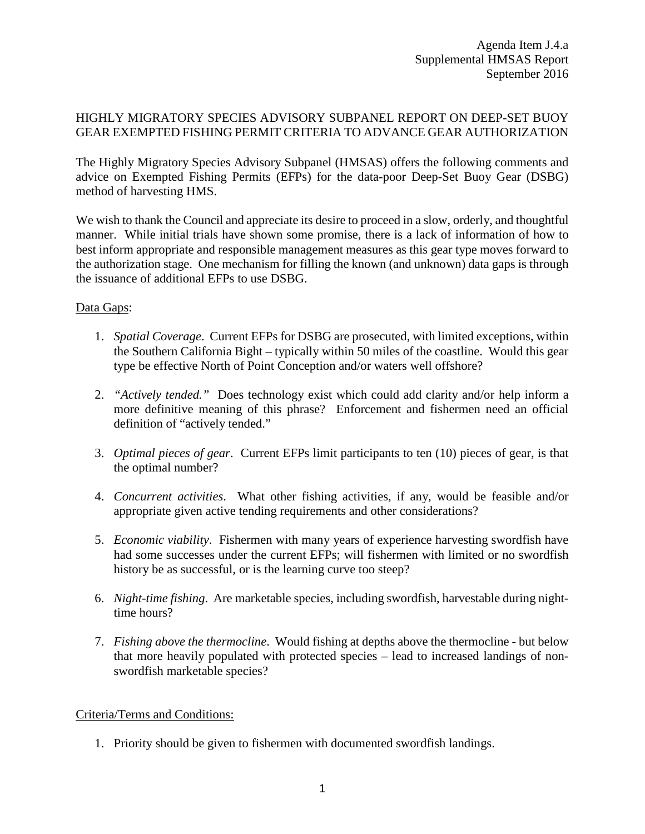# HIGHLY MIGRATORY SPECIES ADVISORY SUBPANEL REPORT ON DEEP-SET BUOY GEAR EXEMPTED FISHING PERMIT CRITERIA TO ADVANCE GEAR AUTHORIZATION

The Highly Migratory Species Advisory Subpanel (HMSAS) offers the following comments and advice on Exempted Fishing Permits (EFPs) for the data-poor Deep-Set Buoy Gear (DSBG) method of harvesting HMS.

We wish to thank the Council and appreciate its desire to proceed in a slow, orderly, and thoughtful manner. While initial trials have shown some promise, there is a lack of information of how to best inform appropriate and responsible management measures as this gear type moves forward to the authorization stage. One mechanism for filling the known (and unknown) data gaps is through the issuance of additional EFPs to use DSBG.

## Data Gaps:

- 1. *Spatial Coverage*. Current EFPs for DSBG are prosecuted, with limited exceptions, within the Southern California Bight – typically within 50 miles of the coastline. Would this gear type be effective North of Point Conception and/or waters well offshore?
- 2. *"Actively tended."* Does technology exist which could add clarity and/or help inform a more definitive meaning of this phrase? Enforcement and fishermen need an official definition of "actively tended."
- 3. *Optimal pieces of gear*. Current EFPs limit participants to ten (10) pieces of gear, is that the optimal number?
- 4. *Concurrent activities*. What other fishing activities, if any, would be feasible and/or appropriate given active tending requirements and other considerations?
- 5. *Economic viability*. Fishermen with many years of experience harvesting swordfish have had some successes under the current EFPs; will fishermen with limited or no swordfish history be as successful, or is the learning curve too steep?
- 6. *Night-time fishing*. Are marketable species, including swordfish, harvestable during nighttime hours?
- 7. *Fishing above the thermocline*. Would fishing at depths above the thermocline but below that more heavily populated with protected species – lead to increased landings of nonswordfish marketable species?

## Criteria/Terms and Conditions:

1. Priority should be given to fishermen with documented swordfish landings.